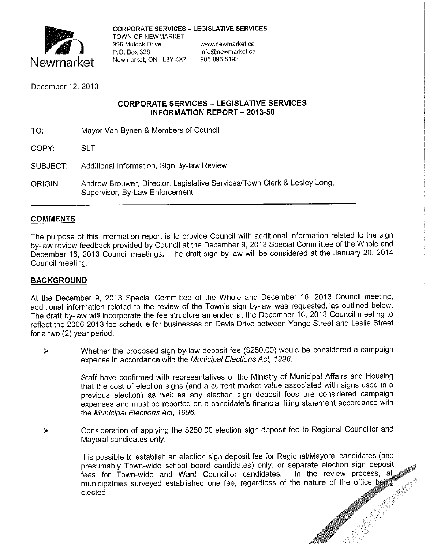

CORPORATE SERVICES - LEGISLATIVE SERVICES

TOWN OF NEWMARKET 395 Mulock Drive **www.newmarket.ca** Newmarket, ON L3Y 4X7

info@newmarket.ca<br>905.895.5193

December 12, 2013

### **CORPORATE SERVICES - LEGISLATIVE SERVICES INFORMATION REPORT - 2013-50**

- TO: Mayor Van Bynen & Members of Council
- COPY: SLT
- SUBJECT: Additional Information, Sign By-law Review
- ORIGIN: Andrew Brouwer, Director, Legislative Services/Town Clerk & Lesley Long, Supervisor, By-Law Enforcement

## **COMMENTS**

The purpose of this information report is to provide Council with additional information related to the sign by-law review feedback provided by Council at the December 9, 2013 Special Committee of the Whole and December 16, 2013 Council meetings. The draft sign by-law will be considered at the January 20, 2014 Council meeting.

## **BACKGROUND**

At the December 9, 2013 Special Committee of the Whole and December 16, 2013 Council meeting, additional information related to the review of the Town's sign by-law was requested, as outlined below. The draft by-law will incorporate the fee structure amended at the December 16, 2013 Council meeting to reflect the 2006-2013 fee schedule for businesses on Davis Drive between Yonge Street and Leslie Street for a two (2) year period.

 $\triangleright$  Whether the proposed sign by-law deposit fee (\$250.00) would be considered a campaign expense in accordance with the Municipal Elections Act, 1996.

> Staff have confirmed with representatives of the Ministry of Municipal Affairs and Housing that the cost of election signs (and a current market value associated with signs used in a previous election) as well as any election sign deposit fees are considered campaign expenses and must be reported on a candidate's financial filing statement accordance with the Municipal Elections Act, 1996.

Consideration of applying the \$250.00 election sign deposit fee to Regional Councillor and ↘ Mayoral candidates only.

> In the review process,  $a\|$ municipalities surveyed established one fee, regardless of the nature of the office beit It is possible to establish an election sign deposit fee for Regional/Mayoral candidates (and presumably Town-wide school board candidates) only, or separate election sign deposit fees for Town-wide and Ward Councillor candidates. elected.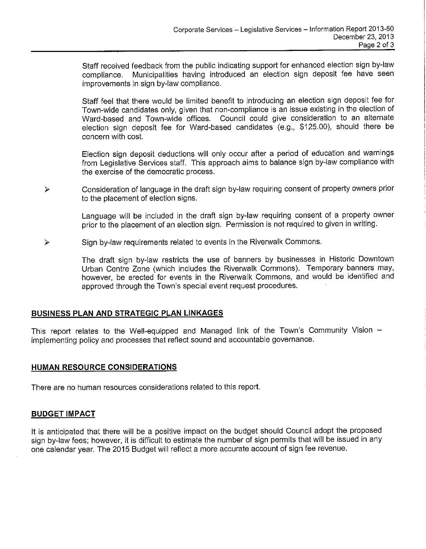Staff received feedback from the public indicating support for enhanced election sign by-law compliance. Municipalities having introduced an election sign deposit fee have seen improvements in sign by-law compliance.

Staff feel that there would be limited benefit to introducing an election sign deposit fee for Town-wide candidates only, given that non-compliance is an issue existing in the election of Ward-based and Town-wide offices. Council could give consideration to an alternate election sign deposit fee for Ward-based candidates (e.g., \$125.00), should there be concern with cost.

Election sign deposit deductions will only occur after a period of education and warnings from Legislative Services staff. This approach aims to balance sign by-law compliance with the exercise of the democratic process.

Consideration of language in the draft sign by-law requiring consent of property owners prior  $\triangleright$ to the placement of election signs.

> Language will be inciuded in the draft sign by-law requiring consent of a property owner prior to the placement of an election sign. Permission is not required to given in writing.

Sign by-law requirements related to events in the Riverwalk Commons.  $\blacktriangleright$ 

> The draft sign by-law restricts the use of banners by businesses in Historic Downtown Urban Centre Zone (which includes the Riverwalk Commons). Temporary banners may, however, be erected for events in the Riverwalk Commons, and would be identified and approved through the Town's special event request procedures.

#### **BUSINESS PLAN AND STRATEGIC PLAN LINKAGES**

This report relates to the Well-equipped and Managed link of the Town's Community Vision implementing policy and processes that reflect sound and accountable governance.

#### **HUMAN RESOURCE CONSIDERATIONS**

There are no human resources considerations related to this report.

#### **BUDGET IMPACT**

It is anticipated that there will be a positive impact on the budget should Council adopt the proposed sign by-law fees; however, it is difficult to estimate the number of sign permits that will be issued in any one calendar year. The 2015 Budget will reflect a more accurate account of sign fee revenue.